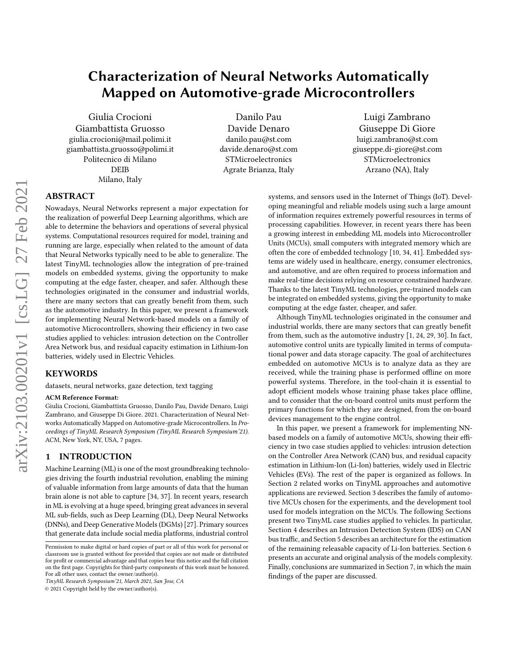# Characterization of Neural Networks Automatically Mapped on Automotive-grade Microcontrollers

Giulia Crocioni Giambattista Gruosso giulia.crocioni@mail.polimi.it giambattista.gruosso@polimi.it Politecnico di Milano DEIB Milano, Italy

Danilo Pau Davide Denaro danilo.pau@st.com davide.denaro@st.com STMicroelectronics Agrate Brianza, Italy

Luigi Zambrano Giuseppe Di Giore luigi.zambrano@st.com giuseppe.di-giore@st.com STMicroelectronics Arzano (NA), Italy

## ABSTRACT

Nowadays, Neural Networks represent a major expectation for the realization of powerful Deep Learning algorithms, which are able to determine the behaviors and operations of several physical systems. Computational resources required for model, training and running are large, especially when related to the amount of data that Neural Networks typically need to be able to generalize. The latest TinyML technologies allow the integration of pre-trained models on embedded systems, giving the opportunity to make computing at the edge faster, cheaper, and safer. Although these technologies originated in the consumer and industrial worlds, there are many sectors that can greatly benefit from them, such as the automotive industry. In this paper, we present a framework for implementing Neural Network-based models on a family of automotive Microcontrollers, showing their efficiency in two case studies applied to vehicles: intrusion detection on the Controller Area Network bus, and residual capacity estimation in Lithium-Ion batteries, widely used in Electric Vehicles.

## KEYWORDS

datasets, neural networks, gaze detection, text tagging

#### ACM Reference Format:

Giulia Crocioni, Giambattista Gruosso, Danilo Pau, Davide Denaro, Luigi Zambrano, and Giuseppe Di Giore. 2021. Characterization of Neural Networks Automatically Mapped on Automotive-grade Microcontrollers. In Proceedings of TinyML Research Symposium (TinyML Research Symposium'21). ACM, New York, NY, USA, [7](#page-6-0) pages.

## 1 INTRODUCTION

Machine Learning (ML) is one of the most groundbreaking technologies driving the fourth industrial revolution, enabling the mining of valuable information from large amounts of data that the human brain alone is not able to capture [\[34,](#page-6-1) [37\]](#page-6-2). In recent years, research in ML is evolving at a huge speed, bringing great advances in several ML sub-fields, such as Deep Learning (DL), Deep Neural Networks (DNNs), and Deep Generative Models (DGMs) [\[27\]](#page-5-0). Primary sources that generate data include social media platforms, industrial control

© 2021 Copyright held by the owner/author(s).

systems, and sensors used in the Internet of Things (IoT). Developing meaningful and reliable models using such a large amount of information requires extremely powerful resources in terms of processing capabilities. However, in recent years there has been a growing interest in embedding ML models into Microcontroller Units (MCUs), small computers with integrated memory which are often the core of embedded technology [\[10,](#page-5-1) [34,](#page-6-1) [41\]](#page-6-3). Embedded systems are widely used in healthcare, energy, consumer electronics, and automotive, and are often required to process information and make real-time decisions relying on resource constrained hardware. Thanks to the latest TinyML technologies, pre-trained models can be integrated on embedded systems, giving the opportunity to make computing at the edge faster, cheaper, and safer.

Although TinyML technologies originated in the consumer and industrial worlds, there are many sectors that can greatly benefit from them, such as the automotive industry [\[1,](#page-5-2) [24,](#page-5-3) [29,](#page-5-4) [30\]](#page-5-5). In fact, automotive control units are typically limited in terms of computational power and data storage capacity. The goal of architectures embedded on automotive MCUs is to analyze data as they are received, while the training phase is performed offline on more powerful systems. Therefore, in the tool-chain it is essential to adopt efficient models whose training phase takes place offline, and to consider that the on-board control units must perform the primary functions for which they are designed, from the on-board devices management to the engine control.

In this paper, we present a framework for implementing NNbased models on a family of automotive MCUs, showing their efficiency in two case studies applied to vehicles: intrusion detection on the Controller Area Network (CAN) bus, and residual capacity estimation in Lithium-Ion (Li-Ion) batteries, widely used in Electric Vehicles (EVs). The rest of the paper is organized as follows. In Section [2](#page-1-0) related works on TinyML approaches and automotive applications are reviewed. Section [3](#page-1-1) describes the family of automotive MCUs chosen for the experiments, and the development tool used for models integration on the MCUs. The following Sections present two TinyML case studies applied to vehicles. In particular, Section [4](#page-2-0) describes an Intrusion Detection System (IDS) on CAN bus traffic, and Section [5](#page-3-0) describes an architecture for the estimation of the remaining releasable capacity of Li-Ion batteries. Section [6](#page-3-1) presents an accurate and original analysis of the models complexity. Finally, conclusions are summarized in Section [7,](#page-3-2) in which the main findings of the paper are discussed.

Permission to make digital or hard copies of part or all of this work for personal or classroom use is granted without fee provided that copies are not made or distributed for profit or commercial advantage and that copies bear this notice and the full citation on the first page. Copyrights for third-party components of this work must be honored. For all other uses, contact the owner/author(s).

TinyML Research Symposium'21, March 2021, San Jose, CA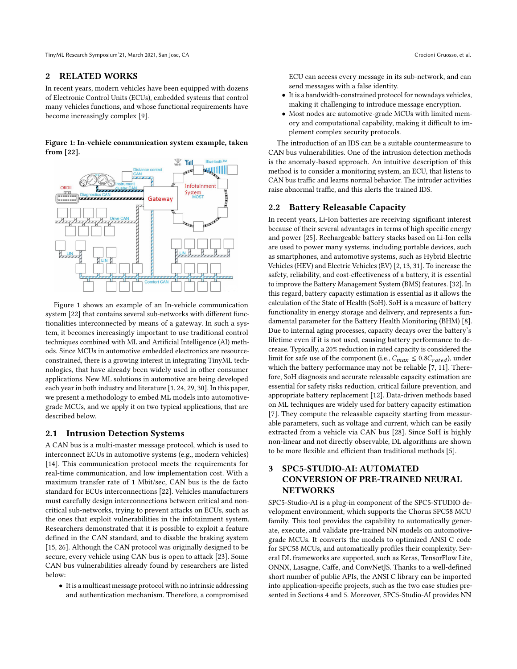TinyML Research Symposium'21, March 2021, San Jose, CA Crocioni Gruosso, et al.

## <span id="page-1-0"></span>2 RELATED WORKS

In recent years, modern vehicles have been equipped with dozens of Electronic Control Units (ECUs), embedded systems that control many vehicles functions, and whose functional requirements have become increasingly complex [\[9\]](#page-5-6).

<span id="page-1-2"></span>Figure 1: In-vehicle communication system example, taken from [\[22\]](#page-5-7).



Figure [1](#page-1-2) shows an example of an In-vehicle communication system [\[22\]](#page-5-7) that contains several sub-networks with different functionalities interconnected by means of a gateway. In such a system, it becomes increasingly important to use traditional control techniques combined with ML and Artificial Intelligence (AI) methods. Since MCUs in automotive embedded electronics are resourceconstrained, there is a growing interest in integrating TinyML technologies, that have already been widely used in other consumer applications. New ML solutions in automotive are being developed each year in both industry and literature [\[1,](#page-5-2) [24,](#page-5-3) [29,](#page-5-4) [30\]](#page-5-5). In this paper, we present a methodology to embed ML models into automotivegrade MCUs, and we apply it on two typical applications, that are described below.

#### 2.1 Intrusion Detection Systems

A CAN bus is a multi-master message protocol, which is used to interconnect ECUs in automotive systems (e.g., modern vehicles) [\[14\]](#page-5-8). This communication protocol meets the requirements for real-time communication, and low implementation cost. With a maximum transfer rate of 1 Mbit/sec, CAN bus is the de facto standard for ECUs interconnections [\[22\]](#page-5-7). Vehicles manufacturers must carefully design interconnections between critical and noncritical sub-networks, trying to prevent attacks on ECUs, such as the ones that exploit vulnerabilities in the infotainment system. Researchers demonstrated that it is possible to exploit a feature defined in the CAN standard, and to disable the braking system [\[15,](#page-5-9) [26\]](#page-5-10). Although the CAN protocol was originally designed to be secure, every vehicle using CAN bus is open to attack [\[23\]](#page-5-11). Some CAN bus vulnerabilities already found by researchers are listed below:

• It is a multicast message protocol with no intrinsic addressing and authentication mechanism. Therefore, a compromised ECU can access every message in its sub-network, and can send messages with a false identity.

- It is a bandwidth-constrained protocol for nowadays vehicles, making it challenging to introduce message encryption.
- Most nodes are automotive-grade MCUs with limited memory and computational capability, making it difficult to implement complex security protocols.

The introduction of an IDS can be a suitable countermeasure to CAN bus vulnerabilities. One of the intrusion detection methods is the anomaly-based approach. An intuitive description of this method is to consider a monitoring system, an ECU, that listens to CAN bus traffic and learns normal behavior. The intruder activities raise abnormal traffic, and this alerts the trained IDS.

## 2.2 Battery Releasable Capacity

In recent years, Li-Ion batteries are receiving significant interest because of their several advantages in terms of high specific energy and power [\[25\]](#page-5-12). Rechargeable battery stacks based on Li-Ion cells are used to power many systems, including portable devices, such as smartphones, and automotive systems, such as Hybrid Electric Vehicles (HEV) and Electric Vehicles (EV) [\[2,](#page-5-13) [13,](#page-5-14) [31\]](#page-5-15). To increase the safety, reliability, and cost-effectiveness of a battery, it is essential to improve the Battery Management System (BMS) features. [\[32\]](#page-5-16). In this regard, battery capacity estimation is essential as it allows the calculation of the State of Health (SoH). SoH is a measure of battery functionality in energy storage and delivery, and represents a fundamental parameter for the Battery Health Monitoring (BHM) [\[8\]](#page-5-17). Due to internal aging processes, capacity decays over the battery's lifetime even if it is not used, causing battery performance to decrease. Typically, a 20% reduction in rated capacity is considered the limit for safe use of the component (i.e.,  $C_{max} \leq 0.8 C_{rated}$ ), under which the battery performance may not be reliable [\[7,](#page-5-18) [11\]](#page-5-19). Therefore, SoH diagnosis and accurate releasable capacity estimation are essential for safety risks reduction, critical failure prevention, and appropriate battery replacement [\[12\]](#page-5-20). Data-driven methods based on ML techniques are widely used for battery capacity estimation [\[7\]](#page-5-18). They compute the releasable capacity starting from measurable parameters, such as voltage and current, which can be easily extracted from a vehicle via CAN bus [\[28\]](#page-5-21). Since SoH is highly non-linear and not directly observable, DL algorithms are shown to be more flexible and efficient than traditional methods [\[5\]](#page-5-22).

## <span id="page-1-1"></span>3 SPC5-STUDIO-AI: AUTOMATED CONVERSION OF PRE-TRAINED NEURAL NETWORKS

SPC5-Studio-AI is a plug-in component of the SPC5-STUDIO development environment, which supports the Chorus SPC58 MCU family. This tool provides the capability to automatically generate, execute, and validate pre-trained NN models on automotivegrade MCUs. It converts the models to optimized ANSI C code for SPC58 MCUs, and automatically profiles their complexity. Several DL frameworks are supported, such as Keras, TensorFlow Lite, ONNX, Lasagne, Caffe, and ConvNetJS. Thanks to a well-defined short number of public APIs, the ANSI C library can be imported into application-specific projects, such as the two case studies presented in Sections [4](#page-2-0) and [5.](#page-3-0) Moreover, SPC5-Studio-AI provides NN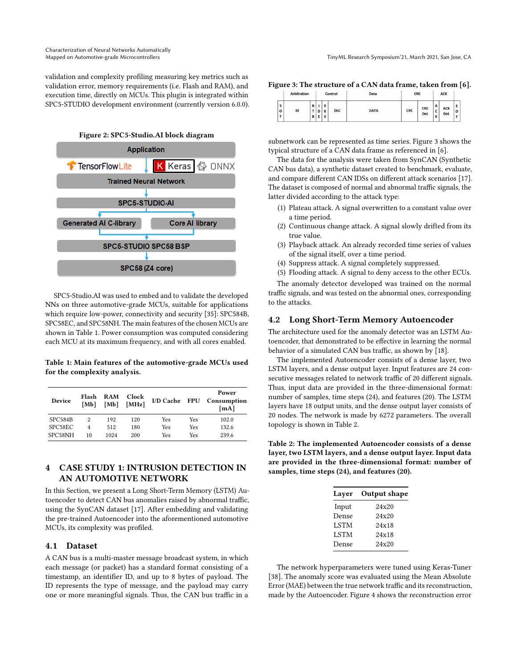validation and complexity profiling measuring key metrics such as validation error, memory requirements (i.e. Flash and RAM), and execution time, directly on MCUs. This plugin is integrated within SPC5-STUDIO development environment (currently version 6.0.0).



SPC5-Studio.AI was used to embed and to validate the developed NNs on three automotive-grade MCUs, suitable for applications which require low-power, connectivity and security [\[35\]](#page-6-4): SPC584B, SPC58EC, and SPC58NH. The main features of the chosen MCUs are shown in Table [1.](#page-2-1) Power consumption was computed considering each MCU at its maximum frequency, and with all cores enabled.

<span id="page-2-1"></span>Table 1: Main features of the automotive-grade MCUs used for the complexity analysis.

| Device  | Flash<br>[Mb] | <b>RAM</b><br>[Mb] | Clock<br>[MHz] | I/D Cache FPU |     | Power<br>Consumption<br>[mA] |
|---------|---------------|--------------------|----------------|---------------|-----|------------------------------|
| SPC584B | 2             | 192                | 120            | Yes           | Yes | 102.0                        |
| SPC58EC | 4             | 512                | 180            | Yes           | Yes | 132.6                        |
| SPC58NH | 10            | 1024               | 200            | Yes           | Yes | 239.6                        |

## <span id="page-2-0"></span>4 CASE STUDY 1: INTRUSION DETECTION IN AN AUTOMOTIVE NETWORK

In this Section, we present a Long Short-Term Memory (LSTM) Autoencoder to detect CAN bus anomalies raised by abnormal traffic, using the SynCAN dataset [\[17\]](#page-5-23). After embedding and validating the pre-trained Autoencoder into the aforementioned automotive MCUs, its complexity was profiled.

## 4.1 Dataset

A CAN bus is a multi-master message broadcast system, in which each message (or packet) has a standard format consisting of a timestamp, an identifier ID, and up to 8 bytes of payload. The ID represents the type of message, and the payload may carry one or more meaningful signals. Thus, the CAN bus traffic in a

<span id="page-2-2"></span>

| Figure 3: The structure of a CAN data frame, taken from [6]. |  |
|--------------------------------------------------------------|--|
|                                                              |  |

|        | <b>Arbitration</b> |                   |   |                             | Control    | Data        | <b>CRC</b> |                   |                                | <b>ACK</b>        |         |
|--------|--------------------|-------------------|---|-----------------------------|------------|-------------|------------|-------------------|--------------------------------|-------------------|---------|
| S<br>o | ID                 | $\mathbf{D}$<br>R | Ε | R<br>$D$ $B$<br>$\mathbf 0$ | <b>DLC</b> | <b>DATA</b> | <b>CRC</b> | CRC<br><b>DeL</b> | A<br>J<br>$\overline{ }$<br>к. | ACK<br><b>Del</b> | E<br>í0 |

subnetwork can be represented as time series. Figure [3](#page-2-2) shows the typical structure of a CAN data frame as referenced in [\[6\]](#page-5-24).

The data for the analysis were taken from SynCAN (Synthetic CAN bus data), a synthetic dataset created to benchmark, evaluate, and compare different CAN IDSs on different attack scenarios [\[17\]](#page-5-23). The dataset is composed of normal and abnormal traffic signals, the latter divided according to the attack type:

- (1) Plateau attack. A signal overwritten to a constant value over a time period.
- (2) Continuous change attack. A signal slowly drifted from its true value.
- (3) Playback attack. An already recorded time series of values of the signal itself, over a time period.
- (4) Suppress attack. A signal completely suppressed.
- (5) Flooding attack. A signal to deny access to the other ECUs.

The anomaly detector developed was trained on the normal traffic signals, and was tested on the abnormal ones, corresponding to the attacks.

#### 4.2 Long Short-Term Memory Autoencoder

The architecture used for the anomaly detector was an LSTM Autoencoder, that demonstrated to be effective in learning the normal behavior of a simulated CAN bus traffic, as shown by [\[18\]](#page-5-25).

The implemented Autoencoder consists of a dense layer, two LSTM layers, and a dense output layer. Input features are 24 consecutive messages related to network traffic of 20 different signals. Thus, input data are provided in the three-dimensional format: number of samples, time steps (24), and features (20). The LSTM layers have 18 output units, and the dense output layer consists of 20 nodes. The network is made by 6272 parameters. The overall topology is shown in Table [2.](#page-2-3)

<span id="page-2-3"></span>Table 2: The implemented Autoencoder consists of a dense layer, two LSTM layers, and a dense output layer. Input data are provided in the three-dimensional format: number of samples, time steps (24), and features (20).

| Layer       | Output shape |
|-------------|--------------|
| Input       | 24x20        |
| Dense       | 24x20        |
| <b>LSTM</b> | 24x18        |
| <b>LSTM</b> | 24x18        |
| Dense       | 24x20        |

The network hyperparameters were tuned using Keras-Tuner [\[38\]](#page-6-5). The anomaly score was evaluated using the Mean Absolute Error (MAE) between the true network traffic and its reconstruction, made by the Autoencoder. Figure [4](#page-4-0) shows the reconstruction error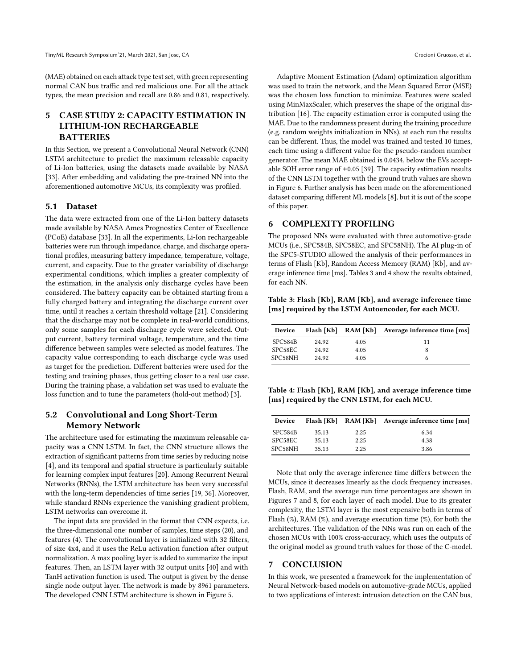(MAE) obtained on each attack type test set, with green representing normal CAN bus traffic and red malicious one. For all the attack types, the mean precision and recall are 0.86 and 0.81, respectively.

## <span id="page-3-0"></span>5 CASE STUDY 2: CAPACITY ESTIMATION IN LITHIUM-ION RECHARGEABLE **BATTERIES**

In this Section, we present a Convolutional Neural Network (CNN) LSTM architecture to predict the maximum releasable capacity of Li-Ion batteries, using the datasets made available by NASA [\[33\]](#page-5-26). After embedding and validating the pre-trained NN into the aforementioned automotive MCUs, its complexity was profiled.

### 5.1 Dataset

The data were extracted from one of the Li-Ion battery datasets made available by NASA Ames Prognostics Center of Excellence (PCoE) database [\[33\]](#page-5-26). In all the experiments, Li-Ion rechargeable batteries were run through impedance, charge, and discharge operational profiles, measuring battery impedance, temperature, voltage, current, and capacity. Due to the greater variability of discharge experimental conditions, which implies a greater complexity of the estimation, in the analysis only discharge cycles have been considered. The battery capacity can be obtained starting from a fully charged battery and integrating the discharge current over time, until it reaches a certain threshold voltage [\[21\]](#page-5-27). Considering that the discharge may not be complete in real-world conditions, only some samples for each discharge cycle were selected. Output current, battery terminal voltage, temperature, and the time difference between samples were selected as model features. The capacity value corresponding to each discharge cycle was used as target for the prediction. Different batteries were used for the testing and training phases, thus getting closer to a real use case. During the training phase, a validation set was used to evaluate the loss function and to tune the parameters (hold-out method) [\[3\]](#page-5-28).

## 5.2 Convolutional and Long Short-Term Memory Network

The architecture used for estimating the maximum releasable capacity was a CNN LSTM. In fact, the CNN structure allows the extraction of significant patterns from time series by reducing noise [\[4\]](#page-5-29), and its temporal and spatial structure is particularly suitable for learning complex input features [\[20\]](#page-5-30). Among Recurrent Neural Networks (RNNs), the LSTM architecture has been very successful with the long-term dependencies of time series [\[19,](#page-5-31) [36\]](#page-6-6). Moreover, while standard RNNs experience the vanishing gradient problem, LSTM networks can overcome it.

The input data are provided in the format that CNN expects, i.e. the three-dimensional one: number of samples, time steps (20), and features (4). The convolutional layer is initialized with 32 filters, of size 4x4, and it uses the ReLu activation function after output normalization. A max pooling layer is added to summarize the input features. Then, an LSTM layer with 32 output units [\[40\]](#page-6-7) and with TanH activation function is used. The output is given by the dense single node output layer. The network is made by 8961 parameters. The developed CNN LSTM architecture is shown in Figure [5.](#page-4-1)

Adaptive Moment Estimation (Adam) optimization algorithm was used to train the network, and the Mean Squared Error (MSE) was the chosen loss function to minimize. Features were scaled using MinMaxScaler, which preserves the shape of the original distribution [\[16\]](#page-5-32). The capacity estimation error is computed using the MAE. Due to the randomness present during the training procedure (e.g. random weights initialization in NNs), at each run the results can be different. Thus, the model was trained and tested 10 times, each time using a different value for the pseudo-random number generator. The mean MAE obtained is 0.0434, below the EVs acceptable SOH error range of  $\pm 0.05$  [\[39\]](#page-6-8). The capacity estimation results of the CNN LSTM together with the ground truth values are shown in Figure [6.](#page-4-2) Further analysis has been made on the aforementioned dataset comparing different ML models [\[8\]](#page-5-17), but it is out of the scope of this paper.

## <span id="page-3-1"></span>6 COMPLEXITY PROFILING

The proposed NNs were evaluated with three automotive-grade MCUs (i.e., SPC584B, SPC58EC, and SPC58NH). The AI plug-in of the SPC5-STUDIO allowed the analysis of their performances in terms of Flash [Kb], Random Access Memory (RAM) [Kb], and average inference time [ms]. Tables [3](#page-3-3) and [4](#page-3-4) show the results obtained, for each NN.

<span id="page-3-3"></span>Table 3: Flash [Kb], RAM [Kb], and average inference time [ms] required by the LSTM Autoencoder, for each MCU.

| Device  |       |      | Flash [Kb] RAM [Kb] Average inference time [ms] |
|---------|-------|------|-------------------------------------------------|
| SPC584B | 24.92 | 4.05 | 11                                              |
| SPC58EC | 24.92 | 4.05 | 8                                               |
| SPC58NH | 24.92 | 4.05 | h                                               |

<span id="page-3-4"></span>Table 4: Flash [Kb], RAM [Kb], and average inference time [ms] required by the CNN LSTM, for each MCU.

| Device  |       | Flash [Kb] RAM [Kb] | Average inference time [ms] |
|---------|-------|---------------------|-----------------------------|
| SPC584B | 35.13 | 2.25                | 6.34                        |
| SPC58EC | 35.13 | 2.25                | 4.38                        |
| SPC58NH | 35.13 | 2.25                | 3.86                        |

Note that only the average inference time differs between the MCUs, since it decreases linearly as the clock frequency increases. Flash, RAM, and the average run time percentages are shown in Figures [7](#page-5-33) and [8,](#page-5-34) for each layer of each model. Due to its greater complexity, the LSTM layer is the most expensive both in terms of Flash (%), RAM (%), and average execution time (%), for both the architectures. The validation of the NNs was run on each of the chosen MCUs with 100% cross-accuracy, which uses the outputs of the original model as ground truth values for those of the C-model.

## <span id="page-3-2"></span>7 CONCLUSION

In this work, we presented a framework for the implementation of Neural Network-based models on automotive-grade MCUs, applied to two applications of interest: intrusion detection on the CAN bus,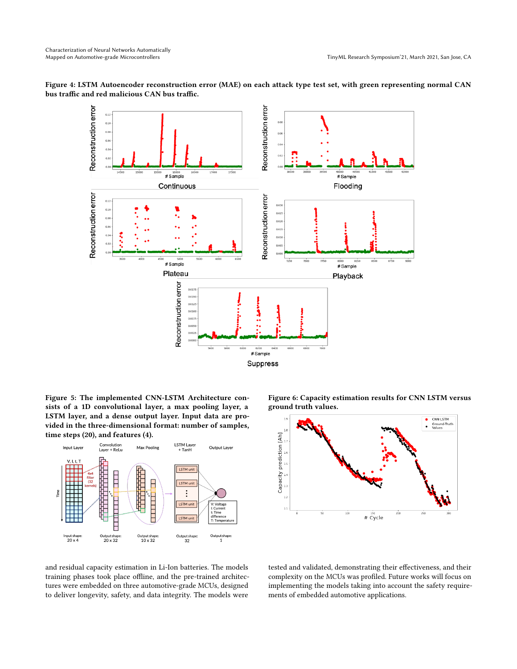

<span id="page-4-0"></span>Figure 4: LSTM Autoencoder reconstruction error (MAE) on each attack type test set, with green representing normal CAN bus traffic and red malicious CAN bus traffic.

<span id="page-4-1"></span>Figure 5: The implemented CNN-LSTM Architecture consists of a 1D convolutional layer, a max pooling layer, a LSTM layer, and a dense output layer. Input data are provided in the three-dimensional format: number of samples, time steps (20), and features (4).



<span id="page-4-2"></span>Figure 6: Capacity estimation results for CNN LSTM versus ground truth values.



and residual capacity estimation in Li-Ion batteries. The models training phases took place offline, and the pre-trained architectures were embedded on three automotive-grade MCUs, designed to deliver longevity, safety, and data integrity. The models were

tested and validated, demonstrating their effectiveness, and their complexity on the MCUs was profiled. Future works will focus on implementing the models taking into account the safety requirements of embedded automotive applications.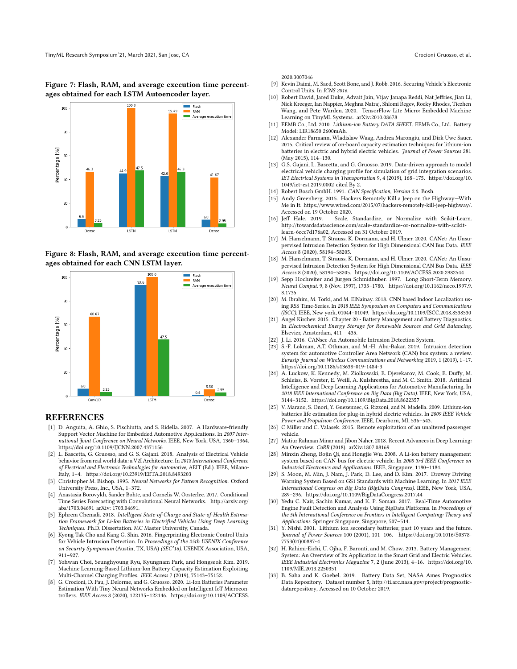<span id="page-5-33"></span>Figure 7: Flash, RAM, and average execution time percentages obtained for each LSTM Autoencoder layer.



<span id="page-5-34"></span>Figure 8: Flash, RAM, and average execution time percentages obtained for each CNN LSTM layer.



#### **REFERENCES**

- <span id="page-5-2"></span>[1] D. Anguita, A. Ghio, S. Pischiutta, and S. Ridella. 2007. A Hardware-friendly Support Vector Machine for Embedded Automotive Applications. In 2007 International Joint Conference on Neural Networks. IEEE, New York, USA, 1360–1364. <https://doi.org/10.1109/IJCNN.2007.4371156>
- <span id="page-5-13"></span>[2] L. Bascetta, G. Gruosso, and G. S. Gajani. 2018. Analysis of Electrical Vehicle behavior from real world data: a V2I Architecture. In 2018 International Conference of Electrical and Electronic Technologies for Automotive, AEIT (Ed.). IEEE, Milano-Italy, 1–4.<https://doi.org/10.23919/EETA.2018.8493203>
- <span id="page-5-28"></span>[3] Christopher M. Bishop. 1995. Neural Networks for Pattern Recognition. Oxford University Press, Inc., USA, 1–372.
- <span id="page-5-29"></span>[4] Anastasia Borovykh, Sander Bohte, and Cornelis W. Oosterlee. 2017. Conditional Time Series Forecasting with Convolutional Neural Networks. [http://arxiv.org/](http://arxiv.org/abs/1703.04691) [abs/1703.04691](http://arxiv.org/abs/1703.04691) arXiv: 1703.04691.
- <span id="page-5-22"></span>[5] Ephrem Chemali. 2018. Intelligent State-of-Charge and State-of-Health Estimation Framework for Li-Ion Batteries in Electrified Vehicles Using Deep Learning Techniques. Ph.D. Dissertation. MC Master University, Canada.
- <span id="page-5-24"></span>[6] Kyong-Tak Cho and Kang G. Shin. 2016. Fingerprinting Electronic Control Units for Vehicle Intrusion Detection. In Proceedings of the 25th USENIX Conference on Security Symposium (Austin, TX, USA) (SEC'16). USENIX Association, USA, 911–927.
- <span id="page-5-18"></span>[7] Yohwan Choi, Seunghyoung Ryu, Kyungnam Park, and Hongseok Kim. 2019. Machine Learning-Based Lithium-Ion Battery Capacity Estimation Exploiting Multi-Channel Charging Profiles. IEEE Access 7 (2019), 75143–75152.
- <span id="page-5-17"></span>[8] G. Crocioni, D. Pau, J. Delorme, and G. Gruosso. 2020. Li-Ion Batteries Parameter Estimation With Tiny Neural Networks Embedded on Intelligent IoT Microcontrollers. IEEE Access 8 (2020), 122135–122146. [https://doi.org/10.1109/ACCESS.](https://doi.org/10.1109/ACCESS.2020.3007046)

[2020.3007046](https://doi.org/10.1109/ACCESS.2020.3007046)

- <span id="page-5-6"></span>[9] Kevin Daimi, M. Saed, Scott Bone, and J. Robb. 2016. Securing Vehicle's Electronic Control Units. In ICNS 2016.
- <span id="page-5-1"></span>[10] Robert David, Jared Duke, Advait Jain, Vijay Janapa Reddi, Nat Jeffries, Jian Li, Nick Kreeger, Ian Nappier, Meghna Natraj, Shlomi Regev, Rocky Rhodes, Tiezhen Wang, and Pete Warden. 2020. TensorFlow Lite Micro: Embedded Machine Learning on TinyML Systems. arXiv[:2010.08678](https://arxiv.org/abs/2010.08678)
- <span id="page-5-19"></span>[11] EEMB Co., Ltd. 2010. Lithium-ion Battery DATA SHEET. EEMB Co., Ltd. Battery Model: LIR18650 2600mAh.
- <span id="page-5-20"></span>[12] Alexander Farmann, Wladislaw Waag, Andrea Marongiu, and Dirk Uwe Sauer. 2015. Critical review of on-board capacity estimation techniques for lithium-ion batteries in electric and hybrid electric vehicles. Journal of Power Sources 281 (May 2015), 114–130.
- <span id="page-5-14"></span>[13] G.S. Gajani, L. Bascetta, and G. Gruosso. 2019. Data-driven approach to model electrical vehicle charging profile for simulation of grid integration scenarios. IET Electrical Systems in Transportation 9, 4 (2019), 168–175. [https://doi.org/10.](https://doi.org/10.1049/iet-est.2019.0002) [1049/iet-est.2019.0002](https://doi.org/10.1049/iet-est.2019.0002) cited By 2.
- <span id="page-5-8"></span>Robert Bosch GmbH. 1991. CAN Specification, Version 2.0. Bosh.
- <span id="page-5-9"></span>[15] Andy Greenberg. 2015. Hackers Remotely Kill a Jeep on the Highway—With Me in It. https://www.wired.com/2015/07/hackers-remotely-kill-jeep-highway/. Accessed on 19 October 2020.<br>[16] Jeff Hale. 2019. Scale,
- <span id="page-5-32"></span>Scale, Standardize, or Normalize with Scikit-Learn. [http://towardsdatascience.com/scale-standardize-or-normalize-with-scikit](http://towardsdatascience.com/scale-standardize-or-normalize-with-scikit-learn-6ccc7d176a02)[learn-6ccc7d176a02,](http://towardsdatascience.com/scale-standardize-or-normalize-with-scikit-learn-6ccc7d176a02) Accessed on 31 October 2019.
- <span id="page-5-23"></span>[17] M. Hanselmann, T. Strauss, K. Dormann, and H. Ulmer. 2020. CANet: An Unsupervised Intrusion Detection System for High Dimensional CAN Bus Data. IEEE Access 8 (2020), 58194–58205.
- <span id="page-5-25"></span>[18] M. Hanselmann, T. Strauss, K. Dormann, and H. Ulmer. 2020. CANet: An Unsupervised Intrusion Detection System for High Dimensional CAN Bus Data. IEEE Access 8 (2020), 58194–58205.<https://doi.org/10.1109/ACCESS.2020.2982544>
- <span id="page-5-31"></span>[19] Sepp Hochreiter and Jürgen Schmidhuber. 1997. Long Short-Term Memory. Neural Comput. 9, 8 (Nov. 1997), 1735–1780. [https://doi.org/10.1162/neco.1997.9.](https://doi.org/10.1162/neco.1997.9.8.1735) [8.1735](https://doi.org/10.1162/neco.1997.9.8.1735)
- <span id="page-5-30"></span>[20] M. Ibrahim, M. Torki, and M. ElNainay. 2018. CNN based Indoor Localization using RSS Time-Series. In 2018 IEEE Symposium on Computers and Communications (ISCC). IEEE, New york, 01044–01049.<https://doi.org/10.1109/ISCC.2018.8538530>
- <span id="page-5-27"></span>[21] Angel Kirchev. 2015. Chapter 20 - Battery Management and Battery Diagnostics. In Electrochemical Energy Storage for Renewable Sources and Grid Balancing. Elsevier, Amsterdam, 411 – 435.
- <span id="page-5-7"></span>[22] J. Li. 2016. CANsee-An Automobile Intrusion Detection System.
- <span id="page-5-11"></span>[23] S.-F. Lokman, A.T. Othman, and M.-H. Abu-Bakar. 2019. Intrusion detection system for automotive Controller Area Network (CAN) bus system: a review. Eurasip Journal on Wireless Communications and Networking 2019, 1 (2019), 1–17. <https://doi.org/10.1186/s13638-019-1484-3>
- <span id="page-5-3"></span>[24] A. Luckow, K. Kennedy, M. Ziolkowski, E. Djerekarov, M. Cook, E. Duffy, M. Schleiss, B. Vorster, E. Weill, A. Kulshrestha, and M. C. Smith. 2018. Artificial Intelligence and Deep Learning Applications for Automotive Manufacturing. In 2018 IEEE International Conference on Big Data (Big Data). IEEE, New York, USA, 3144–3152.<https://doi.org/10.1109/BigData.2018.8622357>
- <span id="page-5-12"></span>[25] V. Marano, S. Onori, Y. Guezennec, G. Rizzoni, and N. Madella. 2009. Lithium-ion batteries life estimation for plug-in hybrid electric vehicles. In 2009 IEEE Vehicle Power and Propulsion Conference. IEEE, Dearborn, MI, 536–543.
- <span id="page-5-10"></span>[26] C Miller and C. Valasek. 2015. Remote exploitation of an unaltered passenger vehicle.
- <span id="page-5-0"></span>[27] Matiur Rahman Minar and Jibon Naher. 2018. Recent Advances in Deep Learning: An Overview. CoRR (2018). arXiv[:1807.08169](https://arxiv.org/abs/1807.08169)
- <span id="page-5-21"></span>[28] Minxin Zheng, Bojin Qi, and Hongjie Wu. 2008. A Li-ion battery management system based on CAN-bus for electric vehicle. In 2008 3rd IEEE Conference on Industrial Electronics and Applications. IEEE, Singapore, 1180–1184.
- <span id="page-5-4"></span>[29] S. Moon, M. Min, J. Nam, J. Park, D. Lee, and D. Kim. 2017. Drowsy Driving Warning System Based on GS1 Standards with Machine Learning. In 2017 IEEE International Congress on Big Data (BigData Congress). IEEE, New York, USA, 289–296.<https://doi.org/10.1109/BigDataCongress.2017.44>
- <span id="page-5-5"></span>[30] Yedu C. Nair, Sachin Kumar, and K. P. Soman. 2017. Real-Time Automotive Engine Fault Detection and Analysis Using BigData Platforms. In Proceedings of the 5th International Conference on Frontiers in Intelligent Computing: Theory and Applications. Springer Singapore, Singapore, 507–514.
- <span id="page-5-15"></span>[31] Y. Nishi. 2001. Lithium ion secondary batteries; past 10 years and the future. Journal of Power Sources 100 (2001), 101–106. [https://doi.org/10.1016/S0378-](https://doi.org/10.1016/S0378-7753(01)00887-4) [7753\(01\)00887-4](https://doi.org/10.1016/S0378-7753(01)00887-4)
- <span id="page-5-16"></span>[32] H. Rahimi-Eichi, U. Ojha, F. Baronti, and M. Chow. 2013. Battery Management System: An Overview of Its Application in the Smart Grid and Electric Vehicles. IEEE Industrial Electronics Magazine 7, 2 (June 2013), 4–16. [https://doi.org/10.](https://doi.org/10.1109/MIE.2013.2250351) [1109/MIE.2013.2250351](https://doi.org/10.1109/MIE.2013.2250351)
- <span id="page-5-26"></span>[33] B. Saha and K. Goebel. 2019. Battery Data Set, NASA Ames Prognostics Data Repository. Dataset number 5, [http://ti.arc.nasa.gov/project/prognostic](http://ti.arc.nasa.gov/project/prognostic-datarepository)[datarepository,](http://ti.arc.nasa.gov/project/prognostic-datarepository) Accessed on 10 October 2019.